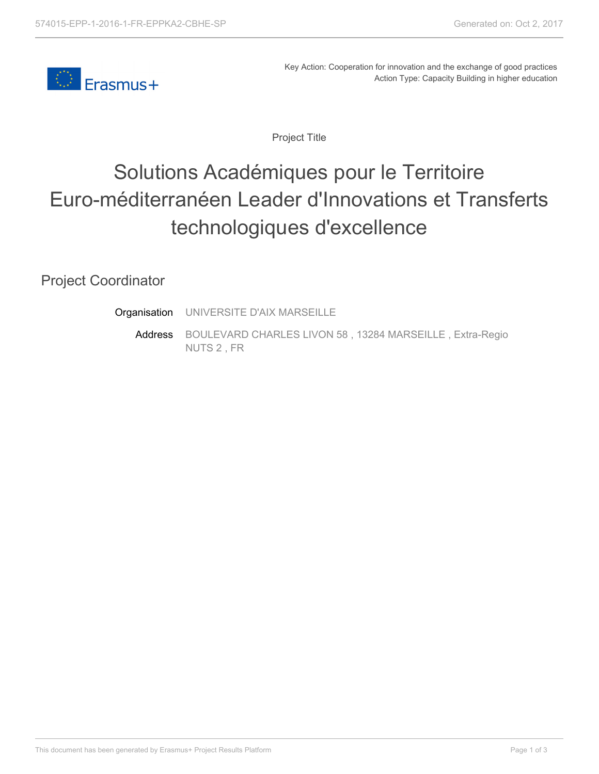

Key Action: Cooperation for innovation and the exchange of good practices Action Type: Capacity Building in higher education

Project Title

## Solutions Académiques pour le Territoire Euro-méditerranéen Leader d'Innovations et Transferts technologiques d'excellence

## Project Coordinator

Address **Organisation** UNIVERSITE D'AIX MARSEILLE BOULEVARD CHARLES LIVON 58 , 13284 MARSEILLE , Extra-Regio NUTS 2 , FR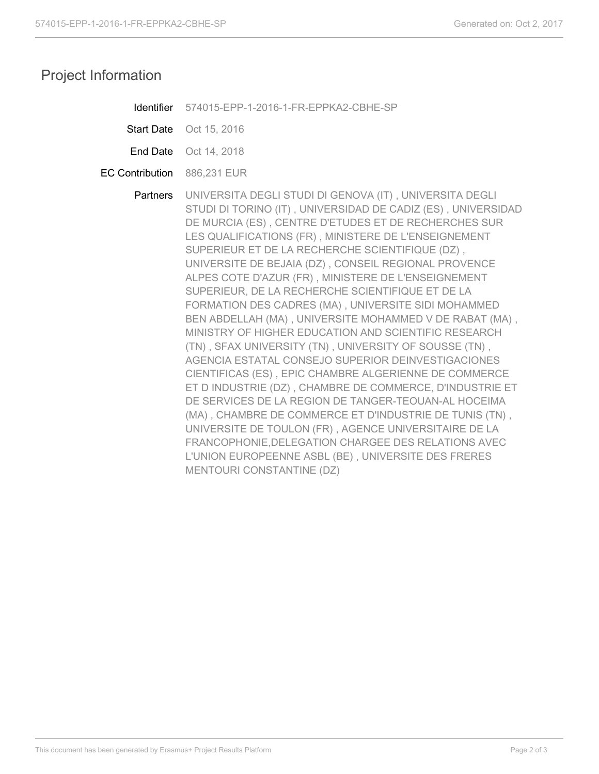## Project Information

Start Date Oct 15, 2016

- End Date Oct 14, 2018
- EC Contribution 886,231 EUR

**Partners** UNIVERSITA DEGLI STUDI DI GENOVA (IT) , UNIVERSITA DEGLI STUDI DI TORINO (IT) , UNIVERSIDAD DE CADIZ (ES) , UNIVERSIDAD DE MURCIA (ES) , CENTRE D'ETUDES ET DE RECHERCHES SUR LES QUALIFICATIONS (FR) , MINISTERE DE L'ENSEIGNEMENT SUPERIEUR ET DE LA RECHERCHE SCIENTIFIQUE (DZ) , UNIVERSITE DE BEJAIA (DZ) , CONSEIL REGIONAL PROVENCE ALPES COTE D'AZUR (FR) , MINISTERE DE L'ENSEIGNEMENT SUPERIEUR, DE LA RECHERCHE SCIENTIFIQUE ET DE LA FORMATION DES CADRES (MA) , UNIVERSITE SIDI MOHAMMED BEN ABDELLAH (MA) , UNIVERSITE MOHAMMED V DE RABAT (MA) , MINISTRY OF HIGHER EDUCATION AND SCIENTIFIC RESEARCH (TN) , SFAX UNIVERSITY (TN) , UNIVERSITY OF SOUSSE (TN) , AGENCIA ESTATAL CONSEJO SUPERIOR DEINVESTIGACIONES CIENTIFICAS (ES) , EPIC CHAMBRE ALGERIENNE DE COMMERCE ET D INDUSTRIE (DZ) , CHAMBRE DE COMMERCE, D'INDUSTRIE ET DE SERVICES DE LA REGION DE TANGER-TEOUAN-AL HOCEIMA (MA) , CHAMBRE DE COMMERCE ET D'INDUSTRIE DE TUNIS (TN) , UNIVERSITE DE TOULON (FR) , AGENCE UNIVERSITAIRE DE LA FRANCOPHONIE,DELEGATION CHARGEE DES RELATIONS AVEC L'UNION EUROPEENNE ASBL (BE) , UNIVERSITE DES FRERES MENTOURI CONSTANTINE (DZ)